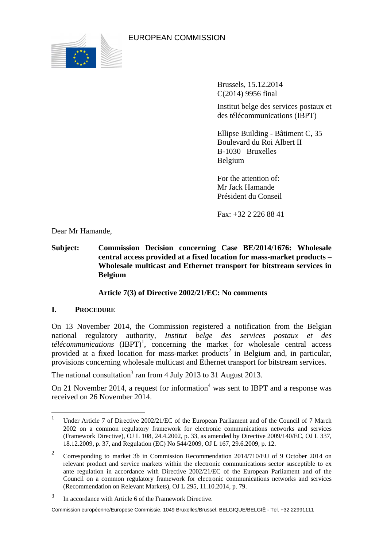

EUROPEAN COMMISSION

Brussels, 15.12.2014 C(2014) 9956 final

Institut belge des services postaux et des télécommunications (IBPT)

Ellipse Building - Bâtiment C, 35 Boulevard du Roi Albert II B-1030 Bruxelles Belgium

For the attention of: Mr Jack Hamande Président du Conseil

 $Fax + 32 2 226 88 41$ 

Dear Mr Hamande,

**Subject: Commission Decision concerning Case BE/2014/1676: Wholesale central access provided at a fixed location for mass-market products – Wholesale multicast and Ethernet transport for bitstream services in Belgium** 

## **Article 7(3) of Directive 2002/21/EC: No comments**

## **I. PROCEDURE**

On 13 November 2014, the Commission registered a notification from the Belgian national regulatory authority, *Institut belge des services postaux et des*   $t\acute{e}l\acute{e}communications$   $(BPT)^1$ , concerning the market for wholesale central access provided at a fixed location for mass-market products<sup>2</sup> in Belgium and, in particular, provisions concerning wholesale multicast and Ethernet transport for bitstream services.

The national consultation<sup>3</sup> ran from 4 July 2013 to 31 August 2013.

On 21 November 2014, a request for information<sup>4</sup> was sent to IBPT and a response was received on 26 November 2014.

 $\frac{1}{1}$  Under Article 7 of Directive 2002/21/EC of the European Parliament and of the Council of 7 March 2002 on a common regulatory framework for electronic communications networks and services (Framework Directive), OJ L 108, 24.4.2002, p. 33, as amended by Directive 2009/140/EC, OJ L 337, 18.12.2009, p. 37, and Regulation (EC) No 544/2009, OJ L 167, 29.6.2009, p. 12.

<sup>2</sup> Corresponding to market 3b in Commission Recommendation 2014/710/EU of 9 October 2014 on relevant product and service markets within the electronic communications sector susceptible to ex ante regulation in accordance with Directive 2002/21/EC of the European Parliament and of the Council on a common regulatory framework for electronic communications networks and services (Recommendation on Relevant Markets), OJ L 295, 11.10.2014, p. 79.

<sup>3</sup> In accordance with Article 6 of the Framework Directive.

Commission européenne/Europese Commissie, 1049 Bruxelles/Brussel, BELGIQUE/BELGIË - Tel. +32 22991111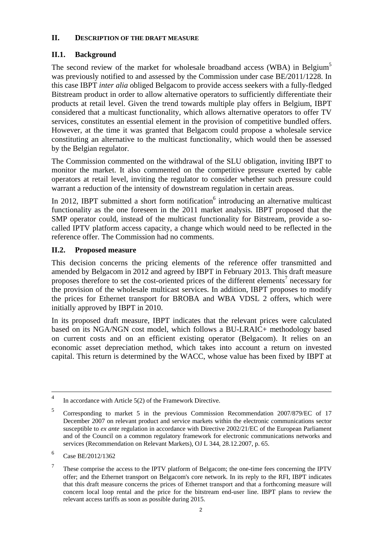#### **II. DESCRIPTION OF THE DRAFT MEASURE**

# **II.1. Background**

The second review of the market for wholesale broadband access (WBA) in Belgium<sup>5</sup> was previously notified to and assessed by the Commission under case BE/2011/1228. In this case IBPT *inter alia* obliged Belgacom to provide access seekers with a fully-fledged Bitstream product in order to allow alternative operators to sufficiently differentiate their products at retail level. Given the trend towards multiple play offers in Belgium, IBPT considered that a multicast functionality, which allows alternative operators to offer TV services, constitutes an essential element in the provision of competitive bundled offers. However, at the time it was granted that Belgacom could propose a wholesale service constituting an alternative to the multicast functionality, which would then be assessed by the Belgian regulator.

The Commission commented on the withdrawal of the SLU obligation, inviting IBPT to monitor the market. It also commented on the competitive pressure exerted by cable operators at retail level, inviting the regulator to consider whether such pressure could warrant a reduction of the intensity of downstream regulation in certain areas.

In 2012, IBPT submitted a short form notification $6$  introducing an alternative multicast functionality as the one foreseen in the 2011 market analysis. IBPT proposed that the SMP operator could, instead of the multicast functionality for Bitstream, provide a socalled IPTV platform access capacity, a change which would need to be reflected in the reference offer. The Commission had no comments.

# **II.2. Proposed measure**

This decision concerns the pricing elements of the reference offer transmitted and amended by Belgacom in 2012 and agreed by IBPT in February 2013. This draft measure proposes therefore to set the cost-oriented prices of the different elements<sup>7</sup> necessary for the provision of the wholesale multicast services. In addition, IBPT proposes to modify the prices for Ethernet transport for BROBA and WBA VDSL 2 offers, which were initially approved by IBPT in 2010.

In its proposed draft measure, IBPT indicates that the relevant prices were calculated based on its NGA/NGN cost model, which follows a BU-LRAIC+ methodology based on current costs and on an efficient existing operator (Belgacom). It relies on an economic asset depreciation method, which takes into account a return on invested capital. This return is determined by the WACC, whose value has been fixed by IBPT at

<sup>&</sup>lt;sup>4</sup> In accordance with Article 5(2) of the Framework Directive.

<sup>5</sup> Corresponding to market 5 in the previous Commission Recommendation 2007/879/EC of 17 December 2007 on relevant product and service markets within the electronic communications sector susceptible to *ex ante* regulation in accordance with Directive 2002/21/EC of the European Parliament and of the Council on a common regulatory framework for electronic communications networks and services (Recommendation on Relevant Markets), OJ L 344, 28.12.2007, p. 65.

<sup>6</sup> Case BE/2012/1362

<sup>7</sup> These comprise the access to the IPTV platform of Belgacom; the one-time fees concerning the IPTV offer; and the Ethernet transport on Belgacom's core network. In its reply to the RFI, IBPT indicates that this draft measure concerns the prices of Ethernet transport and that a forthcoming measure will concern local loop rental and the price for the bitstream end-user line. IBPT plans to review the relevant access tariffs as soon as possible during 2015.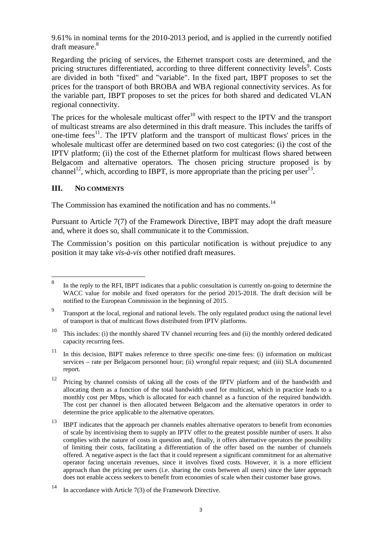9.61% in nominal terms for the 2010-2013 period, and is applied in the currently notified draft measure.<sup>8</sup>

Regarding the pricing of services, the Ethernet transport costs are determined, and the pricing structures differentiated, according to three different connectivity levels<sup>9</sup>. Costs are divided in both "fixed" and "variable". In the fixed part, IBPT proposes to set the prices for the transport of both BROBA and WBA regional connectivity services. As for the variable part, IBPT proposes to set the prices for both shared and dedicated VLAN regional connectivity.

The prices for the wholesale multicast offer<sup>10</sup> with respect to the IPTV and the transport of multicast streams are also determined in this draft measure. This includes the tariffs of one-time fees<sup>11</sup>. The IPTV platform and the transport of multicast flows' prices in the wholesale multicast offer are determined based on two cost categories: (i) the cost of the IPTV platform; (ii) the cost of the Ethernet platform for multicast flows shared between Belgacom and alternative operators. The chosen pricing structure proposed is by channel<sup>12</sup>, which, according to IBPT, is more appropriate than the pricing per user<sup>13</sup>.

#### **III. NO COMMENTS**

The Commission has examined the notification and has no comments.<sup>14</sup>

Pursuant to Article 7(7) of the Framework Directive, IBPT may adopt the draft measure and, where it does so, shall communicate it to the Commission.

The Commission's position on this particular notification is without prejudice to any position it may take *vis-à-vis* other notified draft measures.

 8 In the reply to the RFI, IBPT indicates that a public consultation is currently on-going to determine the WACC value for mobile and fixed operators for the period 2015-2018. The draft decision will be notified to the European Commission in the beginning of 2015.

<sup>9</sup> Transport at the local, regional and national levels. The only regulated product using the national level of transport is that of multicast flows distributed from IPTV platforms.

<sup>&</sup>lt;sup>10</sup> This includes: (i) the monthly shared TV channel recurring fees and (ii) the monthly ordered dedicated capacity recurring fees.

 $11$  In this decision, BIPT makes reference to three specific one-time fees: (i) information on multicast services – rate per Belgacom personnel hour; (ii) wrongful repair request; and (iii) SLA documented report.

<sup>&</sup>lt;sup>12</sup> Pricing by channel consists of taking all the costs of the IPTV platform and of the bandwidth and allocating them as a function of the total bandwidth used for multicast, which in practice leads to a monthly cost per Mbps, which is allocated for each channel as a function of the required bandwidth. The cost per channel is then allocated between Belgacom and the alternative operators in order to determine the price applicable to the alternative operators.

<sup>&</sup>lt;sup>13</sup> IBPT indicates that the approach per channels enables alternative operators to benefit from economies of scale by incentivising them to supply an IPTV offer to the greatest possible number of users. It also complies with the nature of costs in question and, finally, it offers alternative operators the possibility of limiting their costs, facilitating a differentiation of the offer based on the number of channels offered. A negative aspect is the fact that it could represent a significant commitment for an alternative operator facing uncertain revenues, since it involves fixed costs. However, it is a more efficient approach than the pricing per users (i.e. sharing the costs between all users) since the later approach does not enable access seekers to benefit from economies of scale when their customer base grows.

<sup>14</sup> In accordance with Article 7(3) of the Framework Directive.